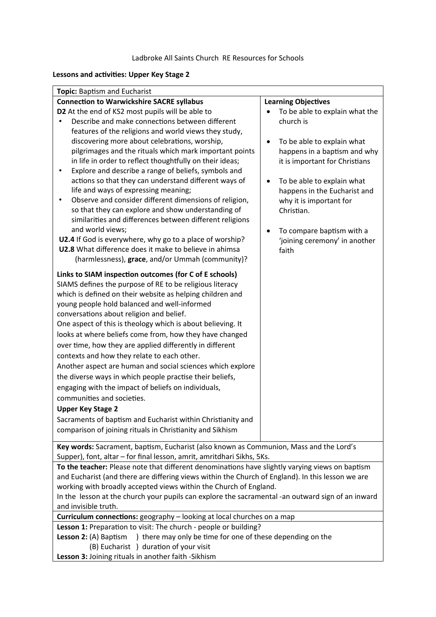#### **Lessons and activities: Upper Key Stage 2**

| Topic: Baptism and Eucharist                                                                                                                                                                                                                                                                                                                                                                                                                                                                                                                                                                                                                                                                                                                                                                                                                                                                                                                                                      |                                                                                                                                                                                                                                                                                                                                            |  |  |  |  |
|-----------------------------------------------------------------------------------------------------------------------------------------------------------------------------------------------------------------------------------------------------------------------------------------------------------------------------------------------------------------------------------------------------------------------------------------------------------------------------------------------------------------------------------------------------------------------------------------------------------------------------------------------------------------------------------------------------------------------------------------------------------------------------------------------------------------------------------------------------------------------------------------------------------------------------------------------------------------------------------|--------------------------------------------------------------------------------------------------------------------------------------------------------------------------------------------------------------------------------------------------------------------------------------------------------------------------------------------|--|--|--|--|
| <b>Connection to Warwickshire SACRE syllabus</b>                                                                                                                                                                                                                                                                                                                                                                                                                                                                                                                                                                                                                                                                                                                                                                                                                                                                                                                                  | <b>Learning Objectives</b>                                                                                                                                                                                                                                                                                                                 |  |  |  |  |
| D2 At the end of KS2 most pupils will be able to<br>Describe and make connections between different<br>features of the religions and world views they study,<br>discovering more about celebrations, worship,<br>pilgrimages and the rituals which mark important points<br>in life in order to reflect thoughtfully on their ideas;<br>Explore and describe a range of beliefs, symbols and<br>٠<br>actions so that they can understand different ways of<br>life and ways of expressing meaning;<br>Observe and consider different dimensions of religion,<br>so that they can explore and show understanding of<br>similarities and differences between different religions<br>and world views;<br>U2.4 If God is everywhere, why go to a place of worship?                                                                                                                                                                                                                    | To be able to explain what the<br>church is<br>To be able to explain what<br>$\bullet$<br>happens in a baptism and why<br>it is important for Christians<br>To be able to explain what<br>$\bullet$<br>happens in the Eucharist and<br>why it is important for<br>Christian.<br>To compare baptism with a<br>'joining ceremony' in another |  |  |  |  |
| U2.8 What difference does it make to believe in ahimsa<br>(harmlessness), grace, and/or Ummah (community)?                                                                                                                                                                                                                                                                                                                                                                                                                                                                                                                                                                                                                                                                                                                                                                                                                                                                        | faith                                                                                                                                                                                                                                                                                                                                      |  |  |  |  |
| Links to SIAM inspection outcomes (for C of E schools)<br>SIAMS defines the purpose of RE to be religious literacy<br>which is defined on their website as helping children and<br>young people hold balanced and well-informed<br>conversations about religion and belief.<br>One aspect of this is theology which is about believing. It<br>looks at where beliefs come from, how they have changed<br>over time, how they are applied differently in different<br>contexts and how they relate to each other.<br>Another aspect are human and social sciences which explore<br>the diverse ways in which people practise their beliefs,<br>engaging with the impact of beliefs on individuals,<br>communities and societies.<br><b>Upper Key Stage 2</b><br>Sacraments of baptism and Eucharist within Christianity and<br>comparison of joining rituals in Christianity and Sikhism<br>Key words: Sacrament, baptism, Eucharist (also known as Communion, Mass and the Lord's |                                                                                                                                                                                                                                                                                                                                            |  |  |  |  |
| Supper), font, altar - for final lesson, amrit, amritdhari Sikhs, 5Ks.                                                                                                                                                                                                                                                                                                                                                                                                                                                                                                                                                                                                                                                                                                                                                                                                                                                                                                            |                                                                                                                                                                                                                                                                                                                                            |  |  |  |  |

**To the teacher:** Please note that different denominations have slightly varying views on baptism and Eucharist (and there are differing views within the Church of England). In this lesson we are working with broadly accepted views within the Church of England.

In the lesson at the church your pupils can explore the sacramental -an outward sign of an inward and invisible truth.

**Curriculum connections:** geography – looking at local churches on a map

Lesson 1: Preparation to visit: The church - people or building?

- Lesson 2: (A) Baptism ) there may only be time for one of these depending on the
	- (B) Eucharist ) duration of your visit

**Lesson 3:** Joining rituals in another faith -Sikhism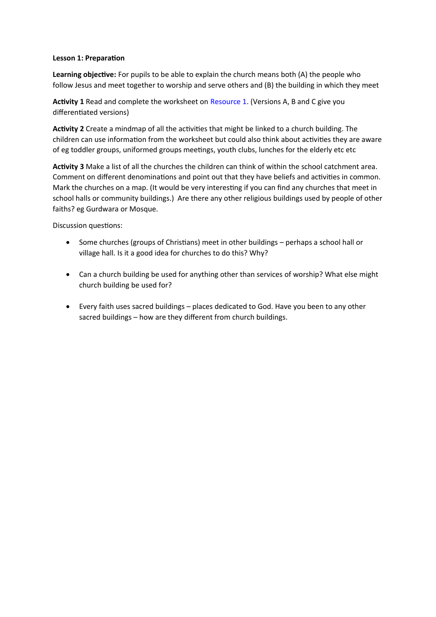#### **Lesson 1: Preparation**

**Learning objective:** For pupils to be able to explain the church means both (A) the people who follow Jesus and meet together to worship and serve others and (B) the building in which they meet

**Activity 1** Read and complete the worksheet on Resource 1. (Versions A, B and C give you differentiated versions)

**Activity 2** Create a mindmap of all the activities that might be linked to a church building. The children can use information from the worksheet but could also think about activities they are aware of eg toddler groups, uniformed groups meetings, youth clubs, lunches for the elderly etc etc

**Activity 3** Make a list of all the churches the children can think of within the school catchment area. Comment on different denominations and point out that they have beliefs and activities in common. Mark the churches on a map. (It would be very interesting if you can find any churches that meet in school halls or community buildings.) Are there any other religious buildings used by people of other faiths? eg Gurdwara or Mosque.

Discussion questions:

- Some churches (groups of Christians) meet in other buildings perhaps a school hall or village hall. Is it a good idea for churches to do this? Why?
- Can a church building be used for anything other than services of worship? What else might church building be used for?
- Every faith uses sacred buildings places dedicated to God. Have you been to any other sacred buildings – how are they different from church buildings.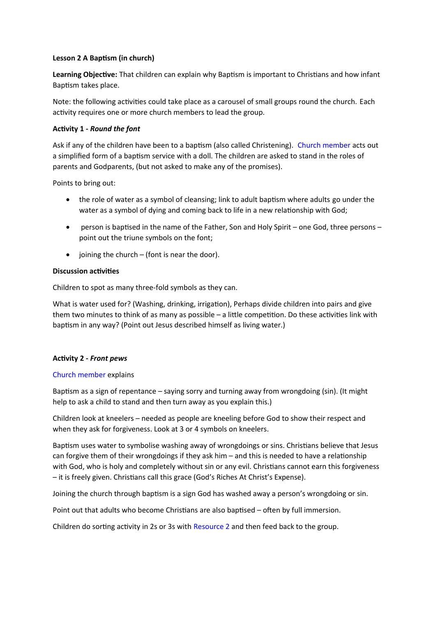#### **Lesson 2 A Baptism (in church)**

**Learning Objective:** That children can explain why Baptism is important to Christians and how infant Baptism takes place.

Note: the following activities could take place as a carousel of small groups round the church. Each activity requires one or more church members to lead the group.

#### **Activity 1 -** *Round the font*

Ask if any of the children have been to a baptism (also called Christening). Church member acts out a simplified form of a baptism service with a doll. The children are asked to stand in the roles of parents and Godparents, (but not asked to make any of the promises).

Points to bring out:

- the role of water as a symbol of cleansing; link to adult baptism where adults go under the water as a symbol of dying and coming back to life in a new relationship with God;
- person is baptised in the name of the Father, Son and Holy Spirit one God, three persons point out the triune symbols on the font;
- $\bullet$  joining the church (font is near the door).

## **Discussion activities**

Children to spot as many three-fold symbols as they can.

What is water used for? (Washing, drinking, irrigation), Perhaps divide children into pairs and give them two minutes to think of as many as possible – a little competition. Do these activities link with baptism in any way? (Point out Jesus described himself as living water.)

#### **Activity 2 -** *Front pews*

#### Church member explains

Baptism as a sign of repentance – saying sorry and turning away from wrongdoing (sin). (It might help to ask a child to stand and then turn away as you explain this.)

Children look at kneelers – needed as people are kneeling before God to show their respect and when they ask for forgiveness. Look at 3 or 4 symbols on kneelers.

Baptism uses water to symbolise washing away of wrongdoings or sins. Christians believe that Jesus can forgive them of their wrongdoings if they ask him – and this is needed to have a relationship with God, who is holy and completely without sin or any evil. Christians cannot earn this forgiveness – it is freely given. Christians call this grace (God's Riches At Christ's Expense).

Joining the church through baptism is a sign God has washed away a person's wrongdoing or sin.

Point out that adults who become Christians are also baptised – often by full immersion.

Children do sorting activity in 2s or 3s with Resource 2 and then feed back to the group.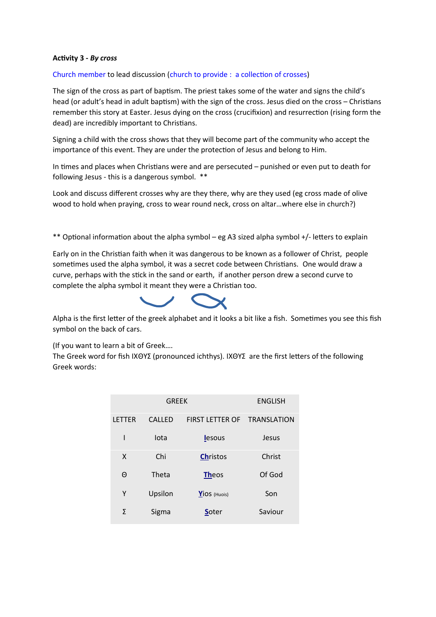#### **Activity 3 -** *By cross*

#### Church member to lead discussion (church to provide : a collection of crosses)

The sign of the cross as part of baptism. The priest takes some of the water and signs the child's head (or adult's head in adult baptism) with the sign of the cross. Jesus died on the cross – Christians remember this story at Easter. Jesus dying on the cross (crucifixion) and resurrection (rising form the dead) are incredibly important to Christians.

Signing a child with the cross shows that they will become part of the community who accept the importance of this event. They are under the protection of Jesus and belong to Him.

In times and places when Christians were and are persecuted – punished or even put to death for following Jesus - this is a dangerous symbol. \*\*

Look and discuss different crosses why are they there, why are they used (eg cross made of olive wood to hold when praying, cross to wear round neck, cross on altar…where else in church?)

\*\* Optional information about the alpha symbol – eg A3 sized alpha symbol +/- letters to explain

Early on in the Christian faith when it was dangerous to be known as a follower of Christ, people sometimes used the alpha symbol, it was a secret code between Christians. One would draw a curve, perhaps with the stick in the sand or earth, if another person drew a second curve to complete the alpha symbol it meant they were a Christian too.



Alpha is the first letter of the greek alphabet and it looks a bit like a fish. Sometimes you see this fish symbol on the back of cars.

(If you want to learn a bit of Greek….

The Greek word for fish IXΘΥΣ (pronounced ichthys). IXΘΥΣ are the first letters of the following Greek words:

| <b>GREEK</b>  |               |                        | <b>ENGLISH</b>     |
|---------------|---------------|------------------------|--------------------|
| <b>LETTER</b> | <b>CALLED</b> | <b>FIRST LETTER OF</b> | <b>TRANSLATION</b> |
| ı             | lota          | <b>lesous</b>          | Jesus              |
| X             | Chi           | <b>Christos</b>        | Christ             |
| Θ             | Theta         | <b>Theos</b>           | Of God             |
| Υ             | Upsilon       | $Y$ iOS (Huois)        | Son                |
| Σ             | Sigma         | <b>S</b> oter          | Saviour            |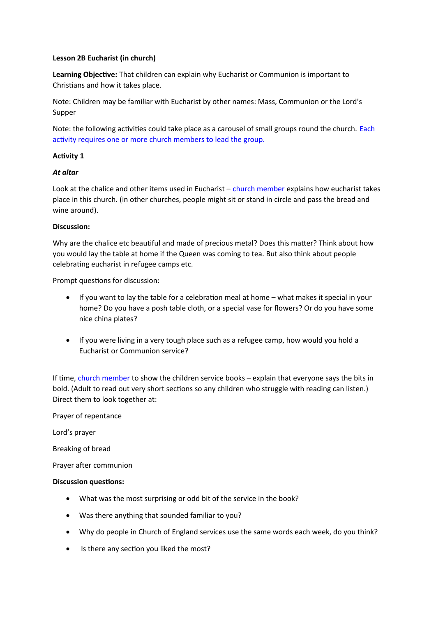#### **Lesson 2B Eucharist (in church)**

**Learning Objective:** That children can explain why Eucharist or Communion is important to Christians and how it takes place.

Note: Children may be familiar with Eucharist by other names: Mass, Communion or the Lord's Supper

Note: the following activities could take place as a carousel of small groups round the church. Each activity requires one or more church members to lead the group.

## **Activity 1**

## *At altar*

Look at the chalice and other items used in Eucharist  $-$  church member explains how eucharist takes place in this church. (in other churches, people might sit or stand in circle and pass the bread and wine around).

## **Discussion:**

Why are the chalice etc beautiful and made of precious metal? Does this matter? Think about how you would lay the table at home if the Queen was coming to tea. But also think about people celebrating eucharist in refugee camps etc.

Prompt questions for discussion:

- If you want to lay the table for a celebration meal at home what makes it special in your home? Do you have a posh table cloth, or a special vase for flowers? Or do you have some nice china plates?
- If you were living in a very tough place such as a refugee camp, how would you hold a Eucharist or Communion service?

If time, church member to show the children service books – explain that everyone says the bits in bold. (Adult to read out very short sections so any children who struggle with reading can listen.) Direct them to look together at:

Prayer of repentance

Lord's prayer

Breaking of bread

Prayer after communion

#### **Discussion questions:**

- What was the most surprising or odd bit of the service in the book?
- Was there anything that sounded familiar to you?
- Why do people in Church of England services use the same words each week, do you think?
- Is there any section you liked the most?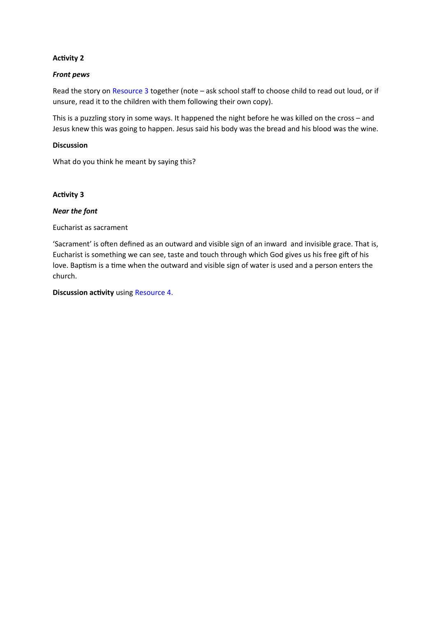#### **Activity 2**

#### *Front pews*

Read the story on Resource 3 together (note – ask school staff to choose child to read out loud, or if unsure, read it to the children with them following their own copy).

This is a puzzling story in some ways. It happened the night before he was killed on the cross – and Jesus knew this was going to happen. Jesus said his body was the bread and his blood was the wine.

#### **Discussion**

What do you think he meant by saying this?

#### **Activity 3**

#### *Near the font*

Eucharist as sacrament

'Sacrament' is often defined as an outward and visible sign of an inward and invisible grace. That is, Eucharist is something we can see, taste and touch through which God gives us his free gift of his love. Baptism is a time when the outward and visible sign of water is used and a person enters the church.

**Discussion activity** using Resource 4.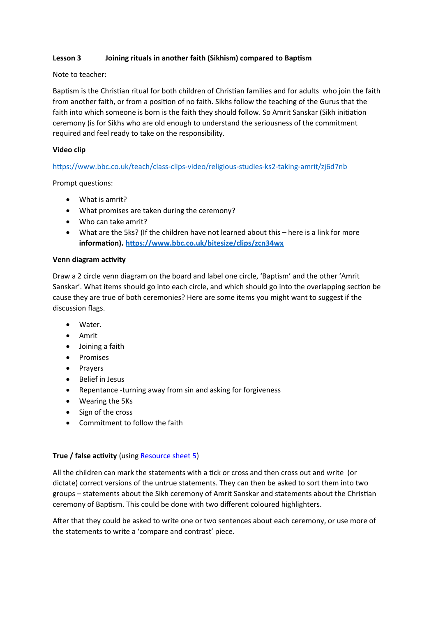## **Lesson 3 Joining rituals in another faith (Sikhism) compared to Baptism**

#### Note to teacher:

Baptism is the Christian ritual for both children of Christian families and for adults who join the faith from another faith, or from a position of no faith. Sikhs follow the teaching of the Gurus that the faith into which someone is born is the faith they should follow. So Amrit Sanskar (Sikh initiation ceremony )is for Sikhs who are old enough to understand the seriousness of the commitment required and feel ready to take on the responsibility.

#### **Video clip**

#### <https://www.bbc.co.uk/teach/class-clips-video/religious-studies-ks2-taking-amrit/zj6d7nb>

Prompt questions:

- What is amrit?
- What promises are taken during the ceremony?
- Who can take amrit?
- What are the 5ks? (If the children have not learned about this here is a link for more **information).<https://www.bbc.co.uk/bitesize/clips/zcn34wx>**

#### **Venn diagram activity**

Draw a 2 circle venn diagram on the board and label one circle, 'Baptism' and the other 'Amrit Sanskar'. What items should go into each circle, and which should go into the overlapping section be cause they are true of both ceremonies? Here are some items you might want to suggest if the discussion flags.

- Water.
- Amrit
- Joining a faith
- Promises
- Prayers
- Belief in Jesus
- Repentance -turning away from sin and asking for forgiveness
- Wearing the 5Ks
- Sign of the cross
- Commitment to follow the faith

#### **True / false activity** (using Resource sheet 5)

All the children can mark the statements with a tick or cross and then cross out and write (or dictate) correct versions of the untrue statements. They can then be asked to sort them into two groups – statements about the Sikh ceremony of Amrit Sanskar and statements about the Christian ceremony of Baptism. This could be done with two different coloured highlighters.

After that they could be asked to write one or two sentences about each ceremony, or use more of the statements to write a 'compare and contrast' piece.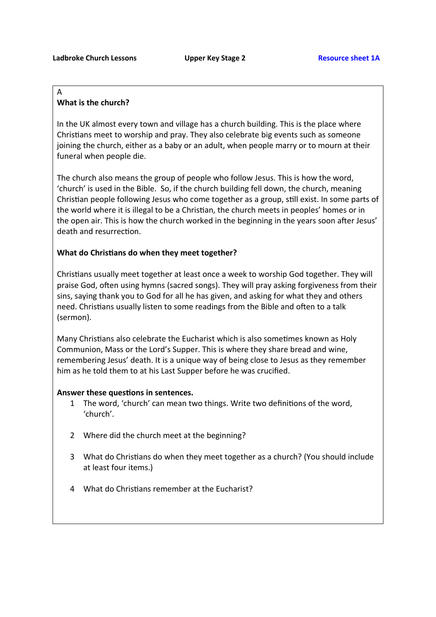# A

## **What is the church?**

In the UK almost every town and village has a church building. This is the place where Christians meet to worship and pray. They also celebrate big events such as someone joining the church, either as a baby or an adult, when people marry or to mourn at their funeral when people die.

The church also means the group of people who follow Jesus. This is how the word, 'church' is used in the Bible. So, if the church building fell down, the church, meaning Christian people following Jesus who come together as a group, still exist. In some parts of the world where it is illegal to be a Christian, the church meets in peoples' homes or in the open air. This is how the church worked in the beginning in the years soon after Jesus' death and resurrection.

## **What do Christians do when they meet together?**

Christians usually meet together at least once a week to worship God together. They will praise God, often using hymns (sacred songs). They will pray asking forgiveness from their sins, saying thank you to God for all he has given, and asking for what they and others need. Christians usually listen to some readings from the Bible and often to a talk (sermon).

Many Christians also celebrate the Eucharist which is also sometimes known as Holy Communion, Mass or the Lord's Supper. This is where they share bread and wine, remembering Jesus' death. It is a unique way of being close to Jesus as they remember him as he told them to at his Last Supper before he was crucified.

## **Answer these questions in sentences.**

- 1 The word, 'church' can mean two things. Write two definitions of the word, 'church'.
- 2 Where did the church meet at the beginning?
- 3 What do Christians do when they meet together as a church? (You should include at least four items.)
- 4 What do Christians remember at the Eucharist?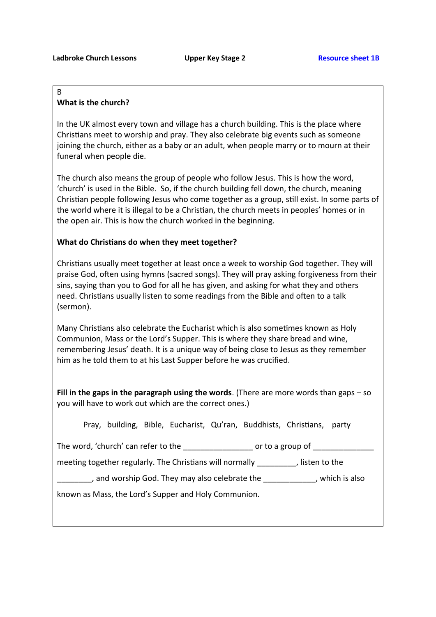#### B **What is the church?**

In the UK almost every town and village has a church building. This is the place where Christians meet to worship and pray. They also celebrate big events such as someone joining the church, either as a baby or an adult, when people marry or to mourn at their funeral when people die.

The church also means the group of people who follow Jesus. This is how the word, 'church' is used in the Bible. So, if the church building fell down, the church, meaning Christian people following Jesus who come together as a group, still exist. In some parts of the world where it is illegal to be a Christian, the church meets in peoples' homes or in the open air. This is how the church worked in the beginning.

## **What do Christians do when they meet together?**

Christians usually meet together at least once a week to worship God together. They will praise God, often using hymns (sacred songs). They will pray asking forgiveness from their sins, saying than you to God for all he has given, and asking for what they and others need. Christians usually listen to some readings from the Bible and often to a talk (sermon).

Many Christians also celebrate the Eucharist which is also sometimes known as Holy Communion, Mass or the Lord's Supper. This is where they share bread and wine, remembering Jesus' death. It is a unique way of being close to Jesus as they remember him as he told them to at his Last Supper before he was crucified.

**Fill in the gaps in the paragraph using the words**. (There are more words than gaps – so you will have to work out which are the correct ones.)

|  |  |  | Pray, building, Bible, Eucharist, Qu'ran, Buddhists, Christians, party |  |
|--|--|--|------------------------------------------------------------------------|--|
|  |  |  |                                                                        |  |

|  | The word, 'church' can refer to the | or to a group of |  |
|--|-------------------------------------|------------------|--|
|  |                                     |                  |  |

meeting together regularly. The Christians will normally [15] isten to the

, and worship God. They may also celebrate the  $\qquad \qquad$ , which is also

known as Mass, the Lord's Supper and Holy Communion.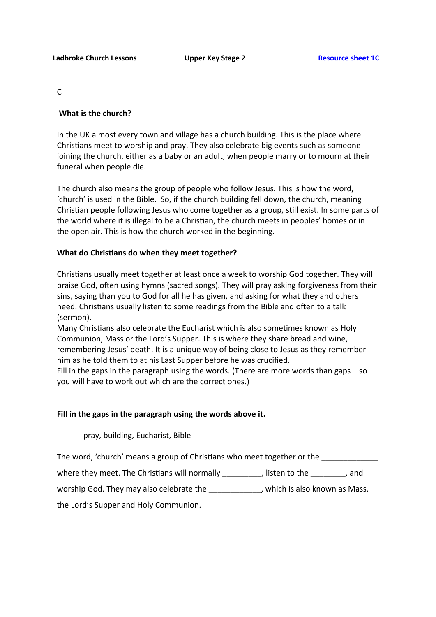## C

## **What is the church?**

In the UK almost every town and village has a church building. This is the place where Christians meet to worship and pray. They also celebrate big events such as someone joining the church, either as a baby or an adult, when people marry or to mourn at their funeral when people die.

The church also means the group of people who follow Jesus. This is how the word, 'church' is used in the Bible. So, if the church building fell down, the church, meaning Christian people following Jesus who come together as a group, still exist. In some parts of the world where it is illegal to be a Christian, the church meets in peoples' homes or in the open air. This is how the church worked in the beginning.

## **What do Christians do when they meet together?**

Christians usually meet together at least once a week to worship God together. They will praise God, often using hymns (sacred songs). They will pray asking forgiveness from their sins, saying than you to God for all he has given, and asking for what they and others need. Christians usually listen to some readings from the Bible and often to a talk (sermon).

Many Christians also celebrate the Eucharist which is also sometimes known as Holy Communion, Mass or the Lord's Supper. This is where they share bread and wine, remembering Jesus' death. It is a unique way of being close to Jesus as they remember him as he told them to at his Last Supper before he was crucified.

Fill in the gaps in the paragraph using the words. (There are more words than gaps – so you will have to work out which are the correct ones.)

## **Fill in the gaps in the paragraph using the words above it.**

pray, building, Eucharist, Bible

The word, 'church' means a group of Christians who meet together or the

where they meet. The Christians will normally \_\_\_\_\_\_\_\_\_, listen to the \_\_\_\_\_\_\_\_, and

worship God. They may also celebrate the \_\_\_\_\_\_\_\_\_\_\_\_, which is also known as Mass,

the Lord's Supper and Holy Communion.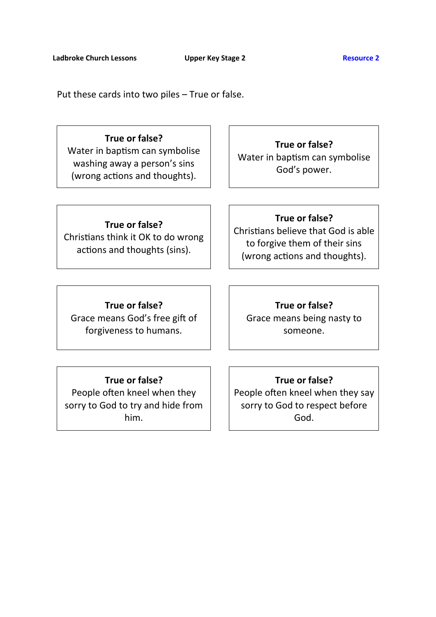Put these cards into two piles – True or false.

## **True or false?**

Water in baptism can symbolise washing away a person's sins (wrong actions and thoughts).

**True or false?** Water in baptism can symbolise God's power.

# **True or false?**

Christians think it OK to do wrong actions and thoughts (sins).

**True or false?** Christians believe that God is able to forgive them of their sins (wrong actions and thoughts).

## **True or false?**

Grace means God's free gift of forgiveness to humans.

**True or false?** Grace means being nasty to someone.

## **True or false?**

People often kneel when they sorry to God to try and hide from him.

**True or false?** People often kneel when they say sorry to God to respect before God.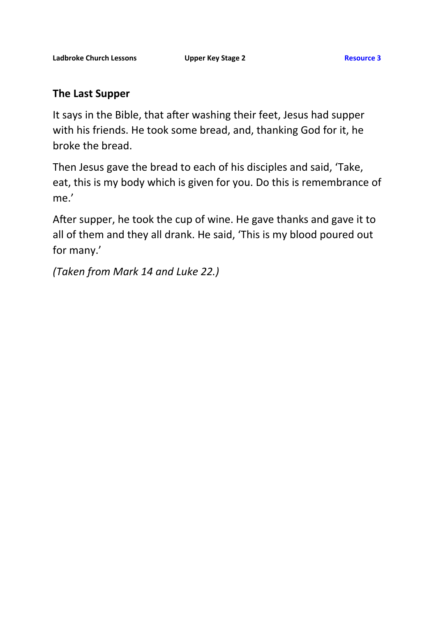# **The Last Supper**

It says in the Bible, that after washing their feet, Jesus had supper with his friends. He took some bread, and, thanking God for it, he broke the bread.

Then Jesus gave the bread to each of his disciples and said, 'Take, eat, this is my body which is given for you. Do this is remembrance of me.'

After supper, he took the cup of wine. He gave thanks and gave it to all of them and they all drank. He said, 'This is my blood poured out for many.'

*(Taken from Mark 14 and Luke 22.)*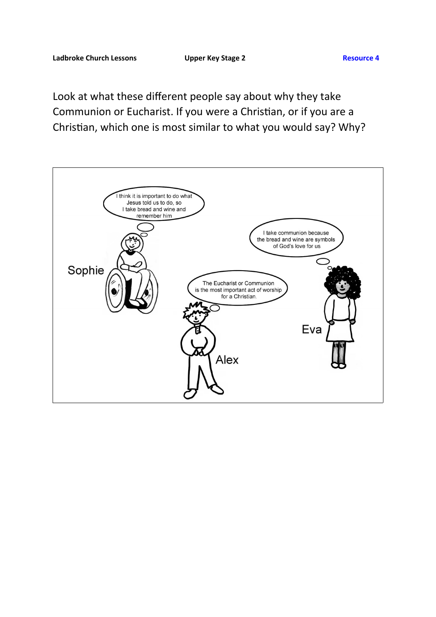Look at what these different people say about why they take Communion or Eucharist. If you were a Christian, or if you are a Christian, which one is most similar to what you would say? Why?